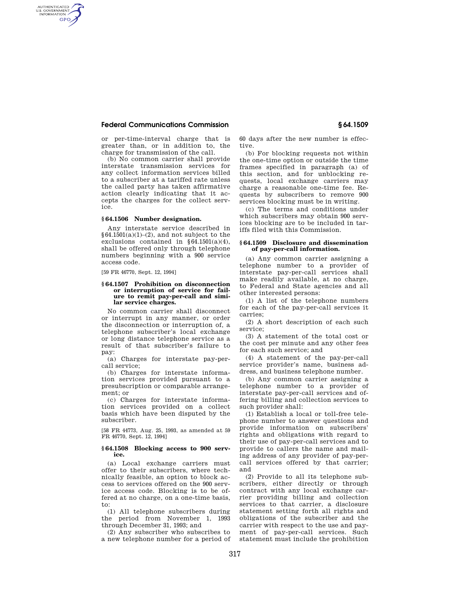# **Federal Communications Commission § 64.1509**

AUTHENTICATED<br>U.S. GOVERNMENT<br>INFORMATION **GPO** 

> or per-time-interval charge that is greater than, or in addition to, the charge for transmission of the call.

(b) No common carrier shall provide interstate transmission services for any collect information services billed to a subscriber at a tariffed rate unless the called party has taken affirmative action clearly indicating that it accepts the charges for the collect service.

### **§ 64.1506 Number designation.**

Any interstate service described in  $§64.1501(a)(1)-(2)$ , and not subject to the exclusions contained in  $§64.1501(a)(4),$ shall be offered only through telephone numbers beginning with a 900 service access code.

[59 FR 46770, Sept. 12, 1994]

#### **§ 64.1507 Prohibition on disconnection or interruption of service for failure to remit pay-per-call and similar service charges.**

No common carrier shall disconnect or interrupt in any manner, or order the disconnection or interruption of, a telephone subscriber's local exchange or long distance telephone service as a result of that subscriber's failure to pay:

(a) Charges for interstate pay-percall service;

(b) Charges for interstate information services provided pursuant to a presubscription or comparable arrangement; or

(c) Charges for interstate information services provided on a collect basis which have been disputed by the subscriber.

[58 FR 44773, Aug. 25, 1993, as amended at 59 FR 46770, Sept. 12, 1994]

#### **§ 64.1508 Blocking access to 900 service.**

(a) Local exchange carriers must offer to their subscribers, where technically feasible, an option to block access to services offered on the 900 service access code. Blocking is to be offered at no charge, on a one-time basis, to:

(1) All telephone subscribers during the period from November 1, 1993 through December 31, 1993; and

(2) Any subscriber who subscribes to a new telephone number for a period of 60 days after the new number is effective.

(b) For blocking requests not within the one-time option or outside the time frames specified in paragraph (a) of this section, and for unblocking requests, local exchange carriers may charge a reasonable one-time fee. Requests by subscribers to remove 900 services blocking must be in writing.

(c) The terms and conditions under which subscribers may obtain 900 services blocking are to be included in tariffs filed with this Commission.

#### **§ 64.1509 Disclosure and dissemination of pay-per-call information.**

(a) Any common carrier assigning a telephone number to a provider of interstate pay-per-call services shall make readily available, at no charge, to Federal and State agencies and all other interested persons:

(1) A list of the telephone numbers for each of the pay-per-call services it carries;

(2) A short description of each such service;

(3) A statement of the total cost or the cost per minute and any other fees for each such service; and

(4) A statement of the pay-per-call service provider's name, business address, and business telephone number.

(b) Any common carrier assigning a telephone number to a provider of interstate pay-per-call services and offering billing and collection services to such provider shall:

(1) Establish a local or toll-free telephone number to answer questions and provide information on subscribers' rights and obligations with regard to their use of pay-per-call services and to provide to callers the name and mailing address of any provider of pay-percall services offered by that carrier; and

(2) Provide to all its telephone subscribers, either directly or through contract with any local exchange carrier providing billing and collection services to that carrier, a disclosure statement setting forth all rights and obligations of the subscriber and the carrier with respect to the use and payment of pay-per-call services. Such statement must include the prohibition